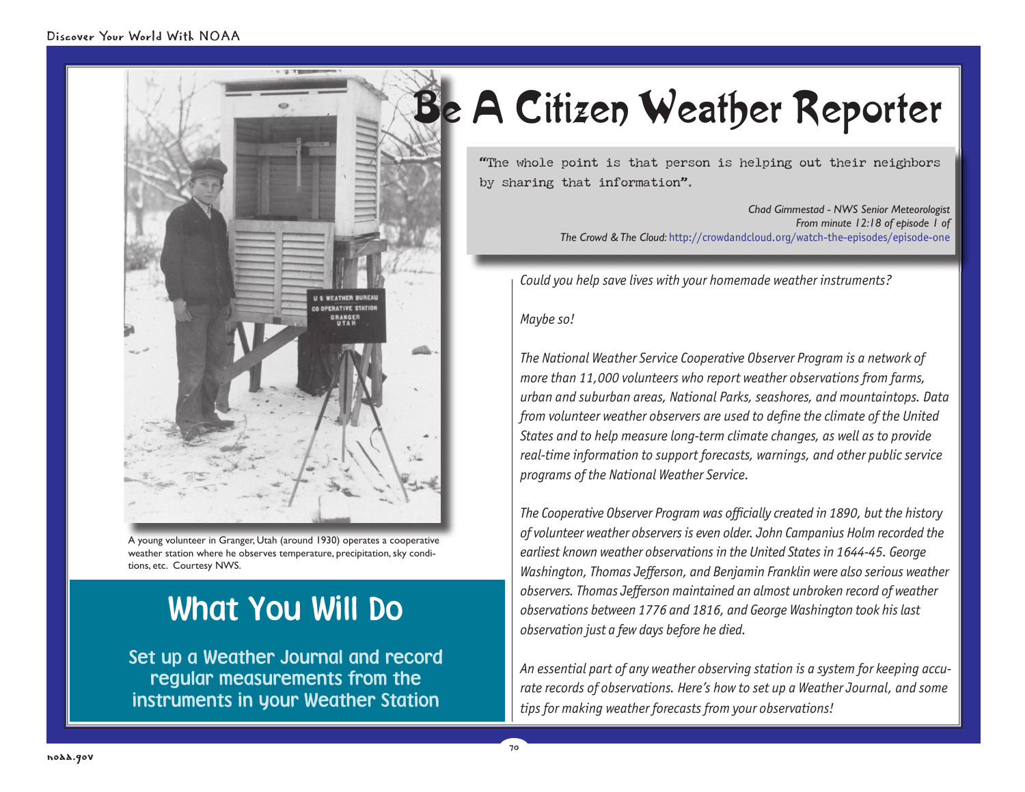

A young volunteer in Granger, Utah (around 1930) operates a cooperative weather station where he observes temperature, precipitation, sky conditions, etc. Courtesy NWS.

# What You Will Do

Set up a Weather Journal and record regular measurements from the instruments in your Weather Station

# Be A Citizen Weather Reporter

"The whole point is that person is helping out their neighbors by sharing that information".

> *Chad Gimmestad - NWS Senior Meteorologist From minute 12:18 of episode 1 of The Crowd & The Cloud:* http://crowdandcloud.org/watch-the-episodes/episode-one

*Could you help save lives with your homemade weather instruments?* 

#### *Maybe so!*

70

*The National Weather Service Cooperative Observer Program is a network of more than 11,000 volunteers who report weather observations from farms, urban and suburban areas, National Parks, seashores, and mountaintops. Data*  from volunteer weather observers are used to define the climate of the United *States and to help measure long-term climate changes, as well as to provide real-time information to support forecasts, warnings, and other public service programs of the National Weather Service.*

*The Cooperative Observer Program was officially created in 1890, but the history of volunteer weather observers is even older. John Campanius Holm recorded the earliest known weather observations in the United States in 1644-45. George Washington, Thomas Jefferson, and Benjamin Franklin were also serious weather* observers. Thomas Jefferson maintained an almost unbroken record of weather *observations between 1776 and 1816, and George Washington took his last observation just a few days before he died.*

*An essential part of any weather observing station is a system for keeping accurate records of observations. Here's how to set up a Weather Journal, and some tips for making weather forecasts from your observations!*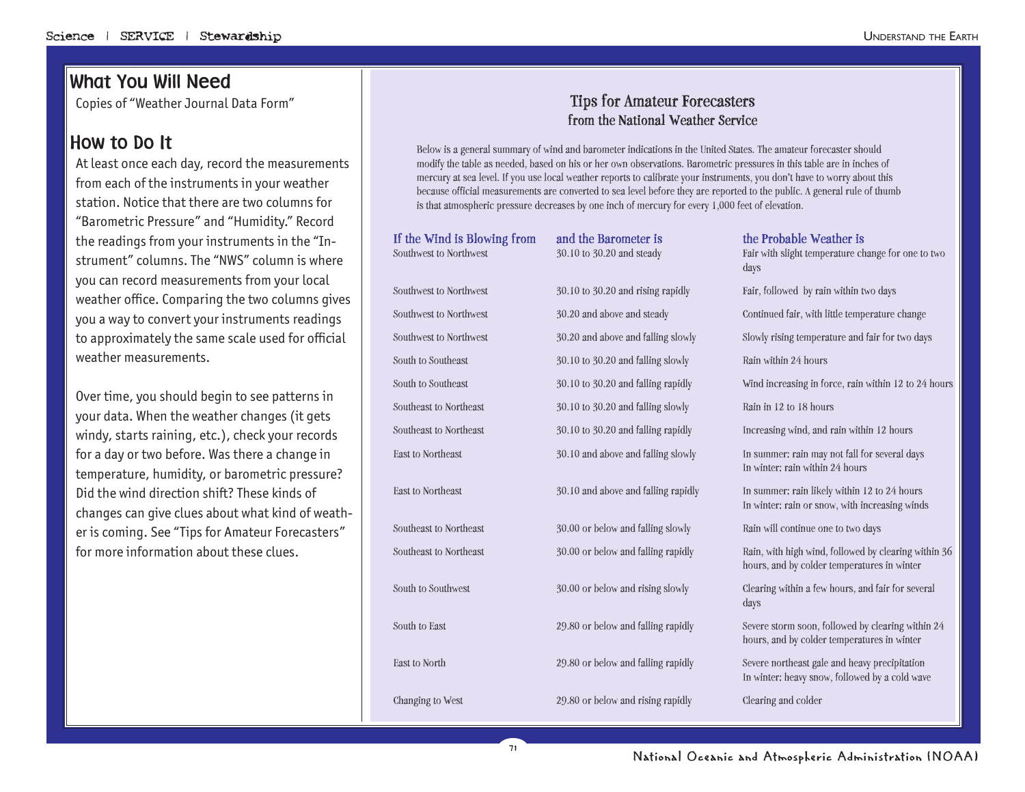### What You Will Need

Copies of "Weather Journal Data Form"

#### How to Do It

At least once each day, record the measurements from each of the instruments in your weather station. Notice that there are two columns for "Barometric Pressure" and "Humidity." Record the readings from your instruments in the "Instrument" columns. The "NWS" column is where you can record measurements from your local weather office. Comparing the two columns gives you a way to convert your instruments readings to approximately the same scale used for official weather measurements.

Over time, you should begin to see patterns in your data. When the weather changes (it gets windy, starts raining, etc.), check your records for a day or two before. Was there a change in temperature, humidity, or barometric pressure? Did the wind direction shift? These kinds of changes can give clues about what kind of weather is coming. See "Tips for Amateur Forecasters" for more information about these clues.

#### **Tips for Amateur Forecasters from the National Weather Service**

Below is a general summary of wind and barometer indications in the United States. The amateur forecaster should modify the table as needed, based on his or her own observations. Barometric pressures in this table are in inches of mercury at sea level. If you use local weather reports to calibrate your instruments, you don't have to worry about this because official measurements are converted to sea level before they are reported to the public. A general rule of thumb is that atmospheric pressure decreases by one inch of mercury for every 1,000 feet of elevation.

| If the Wind is Blowing from<br>Southwest to Northwest | and the Barometer is<br>30.10 to 30.20 and steady | the Probable Weather is<br>Fair with slight temperature change for one to two<br>days               |  |  |
|-------------------------------------------------------|---------------------------------------------------|-----------------------------------------------------------------------------------------------------|--|--|
| Southwest to Northwest                                | 30.10 to 30.20 and rising rapidly                 | Fair, followed by rain within two days                                                              |  |  |
| Southwest to Northwest                                | 30.20 and above and steady                        | Continued fair, with little temperature change                                                      |  |  |
| Southwest to Northwest                                | 30.20 and above and falling slowly                | Slowly rising temperature and fair for two days                                                     |  |  |
| South to Southeast                                    | 30.10 to 30.20 and falling slowly                 | Rain within 24 hours                                                                                |  |  |
| South to Southeast                                    | 30.10 to 30.20 and falling rapidly                | Wind increasing in force, rain within 12 to 24 hours                                                |  |  |
| Southeast to Northeast                                | 30.10 to 30.20 and falling slowly                 | Rain in 12 to 18 hours                                                                              |  |  |
| Southeast to Northeast                                | 30.10 to 30.20 and falling rapidly                | Increasing wind, and rain within 12 hours                                                           |  |  |
| <b>East to Northeast</b>                              | 30.10 and above and falling slowly                | In summer: rain may not fall for several days<br>In winter: rain within 24 hours                    |  |  |
| <b>East to Northeast</b>                              | 30.10 and above and falling rapidly               | In summer: rain likely within 12 to 24 hours<br>In winter: rain or snow, with increasing winds      |  |  |
| Southeast to Northeast                                | 30.00 or below and falling slowly                 | Rain will continue one to two days                                                                  |  |  |
| Southeast to Northeast                                | 30.00 or below and falling rapidly                | Rain, with high wind, followed by clearing within 36<br>hours, and by colder temperatures in winter |  |  |
| South to Southwest                                    | 30.00 or below and rising slowly                  | Clearing within a few hours, and fair for several<br>days                                           |  |  |
| South to East                                         | 29.80 or below and falling rapidly                | Severe storm soon, followed by clearing within 24<br>hours, and by colder temperatures in winter    |  |  |
| <b>East to North</b>                                  | 29.80 or below and falling rapidly                | Severe northeast gale and heavy precipitation<br>In winter: heavy snow, followed by a cold wave     |  |  |
| Changing to West                                      | 29.80 or below and rising rapidly                 | Clearing and colder                                                                                 |  |  |